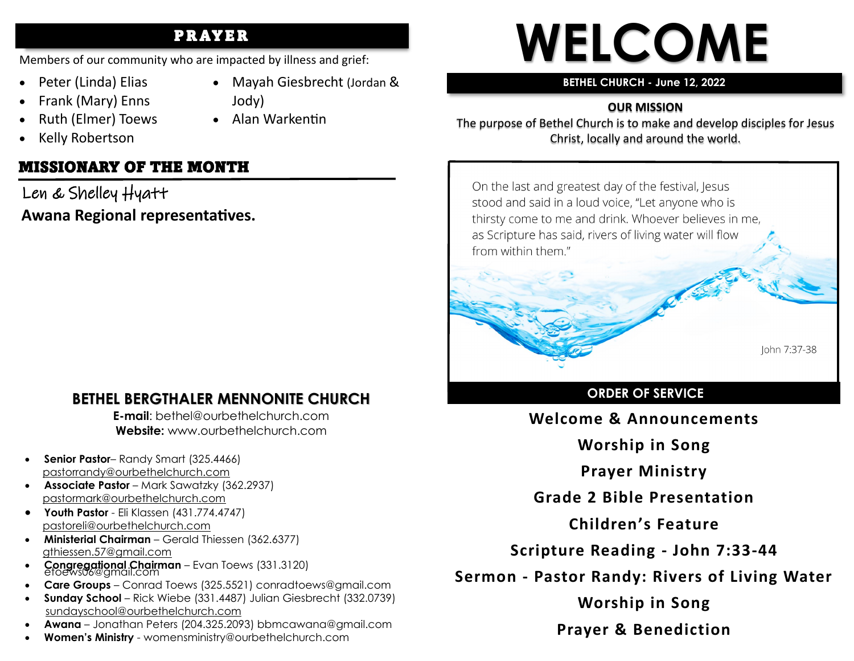## PR AYER

Members of our community who are impacted by illness and grief:

- Peter (Linda) Elias
- Mayah Giesbrecht (Jordan & Jody)
- Ruth (Elmer) Toews

• Frank (Mary) Enns

• Alan Warkentin

• Kelly Robertson

## MISSIONARY OF THE MONTH

Len & Shelley Hyatt **Awana Regional representatives.**

## **BETHEL BERGTHALER MENNONITE CHURCH**

**E-mail**: bethel@ourbethelchurch.com **Website:** www.ourbethelchurch.com

- **Senior Pastor** Randy Smart (325.4466) pastorrandy@ourbethelchurch.com
- **Associate Pastor** Mark Sawatzky (362.2937) [pastormark@ourbethelchurch.com](mailto:pastormark@ourbethelchurch.com)
- **Youth Pastor**  Eli Klassen (431.774.4747) pastoreli@ourbethelchurch.com
- **Ministerial Chairman** Gerald Thiessen (362.6377) gthiessen.57@gmail.com
- **Congregational Chairman** Evan Toews (331.3120) etoews06@gmail.com
- **Care Groups** Conrad Toews (325.5521) conradtoews@gmail.com
- **Sunday School** Rick Wiebe (331.4487) Julian Giesbrecht (332.0739) sundayschool@ourbethelchurch.com
- **Awana** Jonathan Peters (204.325.2093) bbmcawana@gmail.com
- **Women's Ministry**  womensministry@ourbethelchurch.com

# **WELCOME**

#### **BETHEL CHURCH - June 12, 2022**

## **OUR MISSION**

The purpose of Bethel Church is to make and develop disciples for Jesus Christ, locally and around the world.

On the last and greatest day of the festival, Jesus stood and said in a loud voice, "Let anyone who is thirsty come to me and drink. Whoever believes in me, as Scripture has said, rivers of living water will flow from within them."



# **ORDER OF SERVICE**

John 7:37-38

**Welcome & Announcements**

**Worship in Song**

**Prayer Ministry**

**Grade 2 Bible Presentation**

**Children's Feature**

**Scripture Reading - John 7:33-44**

**Sermon - Pastor Randy: Rivers of Living Water**

**Worship in Song**

**Prayer & Benediction**